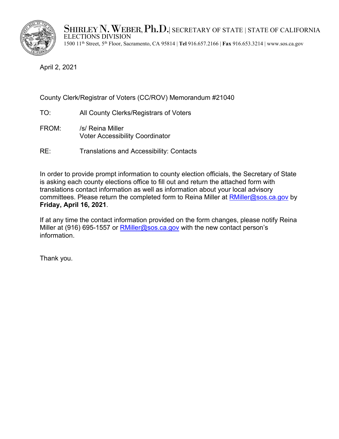

SHIRLEY N. WEBER, Ph.D.| secretary of state | state of california<br>elections division 1500 11th Street, 5th Floor, Sacramento, CA 95814 | **Tel** 916.657.2166 | **Fax** 916.653.3214 |<www.sos.ca.gov>

April 2, 2021

## County Clerk/Registrar of Voters (CC/ROV) Memorandum #21040

- TO: All County Clerks/Registrars of Voters
- FROM: /s/ Reina Miller Voter Accessibility Coordinator
- RE: Translations and Accessibility: Contacts

In order to provide prompt information to county election officials, the Secretary of State is asking each county elections office to fill out and return the attached form with translations contact information as well as information about your local advisory committees. Please return the completed form to Reina Miller at [RMiller@sos.ca.gov](mailto:RMiller@sos.ca.gov) by **Friday, April 16, 2021**.

If at any time the contact information provided on the form changes, please notify Reina Miller at (916) 695-1557 or  $RMiller@sos.ca.gov$  with the new contact person's information.

Thank you.